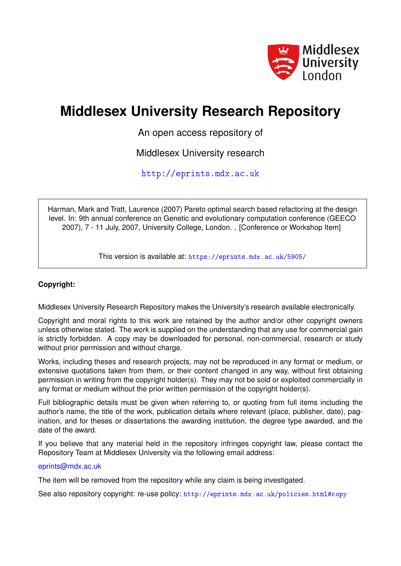

# **Middlesex University Research Repository**

An open access repository of

Middlesex University research

<http://eprints.mdx.ac.uk>

Harman, Mark and Tratt, Laurence (2007) Pareto optimal search based refactoring at the design level. In: 9th annual conference on Genetic and evolutionary computation conference (GEECO 2007), 7 - 11 July, 2007, University College, London. . [Conference or Workshop Item]

This version is available at: <https://eprints.mdx.ac.uk/5905/>

## **Copyright:**

Middlesex University Research Repository makes the University's research available electronically.

Copyright and moral rights to this work are retained by the author and/or other copyright owners unless otherwise stated. The work is supplied on the understanding that any use for commercial gain is strictly forbidden. A copy may be downloaded for personal, non-commercial, research or study without prior permission and without charge.

Works, including theses and research projects, may not be reproduced in any format or medium, or extensive quotations taken from them, or their content changed in any way, without first obtaining permission in writing from the copyright holder(s). They may not be sold or exploited commercially in any format or medium without the prior written permission of the copyright holder(s).

Full bibliographic details must be given when referring to, or quoting from full items including the author's name, the title of the work, publication details where relevant (place, publisher, date), pagination, and for theses or dissertations the awarding institution, the degree type awarded, and the date of the award.

If you believe that any material held in the repository infringes copyright law, please contact the Repository Team at Middlesex University via the following email address:

## [eprints@mdx.ac.uk](mailto:eprints@mdx.ac.uk)

The item will be removed from the repository while any claim is being investigated.

See also repository copyright: re-use policy: <http://eprints.mdx.ac.uk/policies.html#copy>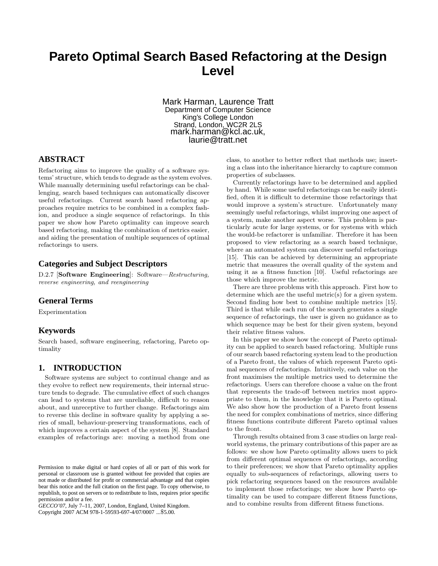## **Pareto Optimal Search Based Refactoring at the Design Level**

Mark Harman, Laurence Tratt Department of Computer Science King's College London Strand, London, WC2R 2LS mark.harman@kcl.ac.uk, laurie@tratt.net

## **ABSTRACT**

Refactoring aims to improve the quality of a software systems' structure, which tends to degrade as the system evolves. While manually determining useful refactorings can be challenging, search based techniques can automatically discover useful refactorings. Current search based refactoring approaches require metrics to be combined in a complex fashion, and produce a single sequence of refactorings. In this paper we show how Pareto optimality can improve search based refactoring, making the combination of metrics easier, and aiding the presentation of multiple sequences of optimal refactorings to users.

## **Categories and Subject Descriptors**

D.2.7 [Software Engineering]: Software—Restructuring, reverse engineering, and reengineering

#### **General Terms**

Experimentation

#### **Keywords**

Search based, software engineering, refactoring, Pareto optimality

#### **1. INTRODUCTION**

Software systems are subject to continual change and as they evolve to reflect new requirements, their internal structure tends to degrade. The cumulative effect of such changes can lead to systems that are unreliable, difficult to reason about, and unreceptive to further change. Refactorings aim to reverse this decline in software quality by applying a series of small, behaviour-preserving transformations, each of which improves a certain aspect of the system [8]. Standard examples of refactorings are: moving a method from one

*GECCO'07,* July 7–11, 2007, London, England, United Kingdom.

Copyright 2007 ACM 978-1-59593-697-4/07/0007 ...\$5.00.

class, to another to better reflect that methods use; inserting a class into the inheritance hierarchy to capture common properties of subclasses.

Currently refactorings have to be determined and applied by hand. While some useful refactorings can be easily identified, often it is difficult to determine those refactorings that would improve a system's structure. Unfortunately many seemingly useful refactorings, whilst improving one aspect of a system, make another aspect worse. This problem is particularly acute for large systems, or for systems with which the would-be refactorer is unfamiliar. Therefore it has been proposed to view refactoring as a search based technique, where an automated system can discover useful refactorings [15]. This can be achieved by determining an appropriate metric that measures the overall quality of the system and using it as a fitness function [10]. Useful refactorings are those which improve the metric.

There are three problems with this approach. First how to determine which are the useful metric(s) for a given system. Second finding how best to combine multiple metrics [15]. Third is that while each run of the search generates a single sequence of refactorings, the user is given no guidance as to which sequence may be best for their given system, beyond their relative fitness values.

In this paper we show how the concept of Pareto optimality can be applied to search based refactoring. Multiple runs of our search based refactoring system lead to the production of a Pareto front, the values of which represent Pareto optimal sequences of refactorings. Intuitively, each value on the front maximises the multiple metrics used to determine the refactorings. Users can therefore choose a value on the front that represents the trade-off between metrics most appropriate to them, in the knowledge that it is Pareto optimal. We also show how the production of a Pareto front lessens the need for complex combinations of metrics, since differing fitness functions contribute different Pareto optimal values to the front.

Through results obtained from 3 case studies on large realworld systems, the primary contributions of this paper are as follows: we show how Pareto optimality allows users to pick from different optimal sequences of refactorings, according to their preferences; we show that Pareto optimality applies equally to sub-sequences of refactorings, allowing users to pick refactoring sequences based on the resources available to implement those refactorings; we show how Pareto optimality can be used to compare different fitness functions, and to combine results from different fitness functions.

Permission to make digital or hard copies of all or part of this work for personal or classroom use is granted without fee provided that copies are not made or distributed for profit or commercial advantage and that copies bear this notice and the full citation on the first page. To copy otherwise, to republish, to post on servers or to redistribute to lists, requires prior specific permission and/or a fee.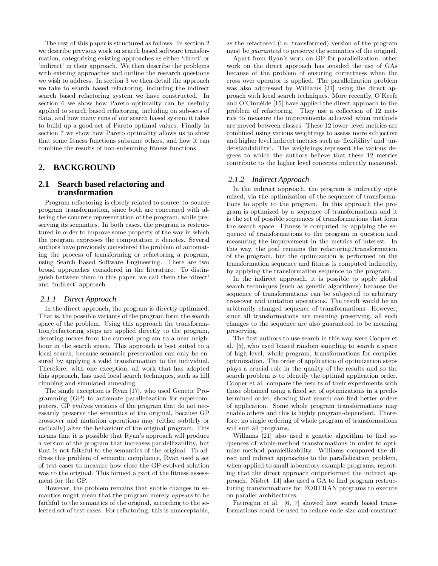The rest of this paper is structured as follows. In section 2 we describe previous work on search based software transformation, categorising existing approaches as either 'direct' or 'indirect' in their approach. We then describe the problems with existing approaches and outline the research questions we wish to address. In section 3 we then detail the approach we take to search based refactoring, including the indirect search based refactoring system we have constructed. In section 6 we show how Pareto optimality can be usefully applied to search based refactoring, including on sub-sets of data, and how many runs of our search based system it takes to build up a good set of Pareto optimal values. Finally in section 7 we show how Pareto optimality allows us to show that some fitness functions subsume others, and how it can combine the results of non-subsuming fitness functions.

#### **2. BACKGROUND**

#### **2.1 Search based refactoring and transformation**

Program refactoring is closely related to source–to–source program transformation, since both are concerned with altering the concrete representation of the program, while preserving its semantics. In both cases, the program is restructured in order to improve some property of the way in which the program expresses the computation it denotes. Several authors have previously considered the problem of automating the process of transforming or refactoring a program, using Search Based Software Engineering. There are two broad approaches considered in the literature. To distinguish between them in this paper, we call them the 'direct' and 'indirect' approach.

#### *2.1.1 Direct Approach*

In the direct approach, the program is directly optimized. That is, the possible variants of the program form the search space of the problem. Using this approach the transformation/refactoring steps are applied directly to the program, denoting moves from the current program to a near neighbour in the search space. This approach is best suited to a local search, because semantic preservation can only be ensured by applying a valid transformation to the individual. Therefore, with one exception, all work that has adopted this approach, has used local search techniques, such as hill climbing and simulated annealing.

The single exception is Ryan [17], who used Genetic Programming (GP) to automate parallelization for supercomputers. GP evolves versions of the program that do not necessarily preserve the semantics of the original, because GP crossover and mutation operations may (either subtlely or radically) alter the behaviour of the original program. This means that it is possible that Ryan's approach will produce a version of the program that increases paralellizability, but that is not faithful to the semantics of the original. To address this problem of semantic compliance, Ryan used a set of test cases to measure how close the GP-evolved solution was to the original. This formed a part of the fitness assessment for the GP.

However, the problem remains that subtle changes in semantics might mean that the program merely appears to be faithful to the semantics of the original, according to the selected set of test cases. For refactoring, this is unacceptable,

as the refactored (i.e. transformed) version of the program must be guaranteed to preserve the semantics of the original.

Apart from Ryan's work on GP for parallelization, other work on the direct approach has avoided the use of GAs because of the problem of ensuring correctness when the cross over operator is applied. The parallelization problem was also addressed by Williams [21] using the direct approach with local search techniques. More recently, O'Keefe and O'Cinnéide [15] have applied the direct approach to the problem of refactoring. They use a collection of 12 metrics to measure the improvements achieved when methods are moved between classes. These 12 lower–level metrics are combined using various weightings to assess more subjective and higher level indirect metrics such as 'flexibility' and 'understandability'. The weightings represent the various degrees to which the authors believe that these 12 metrics contribute to the higher level concepts indirectly measured.

#### *2.1.2 Indirect Approach*

In the indirect approach, the program is indirectly optimized, via the optimization of the sequence of transformations to apply to the program. In this approach the program is optimized by a sequence of transformations and it is the set of possible sequences of transformations that form the search space. Fitness is computed by applying the sequence of transformations to the program in question and measuring the improvement in the metrics of interest. In this way, the goal remains the refactoring/transformation of the program, but the optimization is performed on the transformation sequence and fitness is computed indirectly, by applying the transformation sequence to the program.

In the indirect approach, it is possible to apply global search techniques (such as genetic algorithms) because the sequence of transformations can be subjected to arbitrary crossover and mutation operations. The result would be an arbitrarily changed sequence of transformations. However, since all transformations are meaning preserving, all such changes to the sequence are also guaranteed to be meaning preserving.

The first authors to use search in this way were Cooper et al. [5], who used biased random sampling to search a space of high level, whole-program, transformations for compiler optimization. The order of application of optimization steps plays a crucial role in the quality of the results and so the search problem is to identify the optimal application order. Cooper et al. compare the results of their experiments with those obtained using a fixed set of optimizations in a predetermined order, showing that search can find better orders of application. Some whole program transformations may enable others and this is highly program-dependent. Therefore, no single ordering of whole program of transformations will suit all programs.

Williams [21] also used a genetic algorithm to find sequences of whole-method transformations in order to optimize method paralellizability. Williams compared the direct and indirect approaches to the parallelization problem, when applied to small laboratory example programs, reporting that the direct approach outperformed the indirect approach. Nisbet [14] also used a GA to find program restructuring transformations for FORTRAN programs to execute on parallel architectures.

Fatiregun et al. [6, 7] showed how search based transformations could be used to reduce code size and construct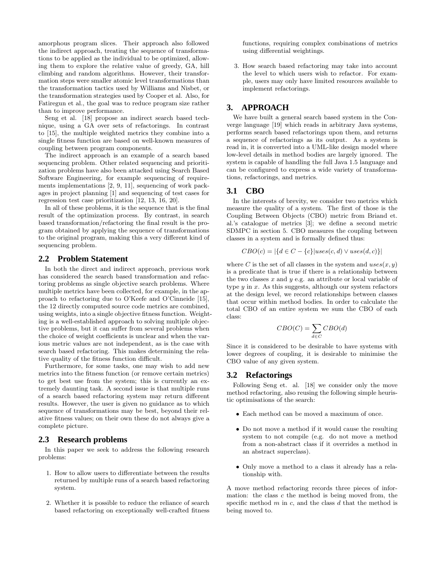amorphous program slices. Their approach also followed the indirect approach, treating the sequence of transformations to be applied as the individual to be optimized, allowing them to explore the relative value of greedy, GA, hill climbing and random algorithms. However, their transformation steps were smaller atomic level transformations than the transformation tactics used by Williams and Nisbet, or the transformation strategies used by Cooper et al. Also, for Fatiregun et al., the goal was to reduce program size rather than to improve performance.

Seng et al. [18] propose an indirect search based technique, using a GA over sets of refactorings. In contrast to [15], the multiple weighted metrics they combine into a single fitness function are based on well-known measures of coupling between program components.

The indirect approach is an example of a search based sequencing problem. Other related sequencing and prioritization problems have also been attacked using Search Based Software Engineering, for example sequencing of requirements implementations [2, 9, 11], sequencing of work packages in project planning [1] and sequencing of test cases for regression test case prioritization [12, 13, 16, 20].

In all of these problems, it is the sequence that is the final result of the optimization process. By contrast, in search based transformation/refactoring the final result is the program obtained by applying the sequence of transformations to the original program, making this a very different kind of sequencing problem.

#### **2.2 Problem Statement**

In both the direct and indirect approach, previous work has considered the search based transformation and refactoring problems as single objective search problems. Where multiple metrics have been collected, for example, in the approach to refactoring due to O'Keefe and O'Cinneide [15], the 12 directly computed source code metrics are combined, using weights, into a single objective fitness function. Weighting is a well-established approach to solving multiple objective problems, but it can suffer from several problems when the choice of weight coefficients is unclear and when the various metric values are not independent, as is the case with search based refactoring. This makes determining the relative quality of the fitness function difficult.

Furthermore, for some tasks, one may wish to add new metrics into the fitness function (or remove certain metrics) to get best use from the system; this is currently an extremely daunting task. A second issue is that multiple runs of a search based refactoring system may return different results. However, the user is given no guidance as to which sequence of transformations may be best, beyond their relative fitness values; on their own these do not always give a complete picture.

## **2.3 Research problems**

In this paper we seek to address the following research problems:

- 1. How to allow users to differentiate between the results returned by multiple runs of a search based refactoring system.
- 2. Whether it is possible to reduce the reliance of search based refactoring on exceptionally well-crafted fitness

functions, requiring complex combinations of metrics using differential weightings.

3. How search based refactoring may take into account the level to which users wish to refactor. For example, users may only have limited resources available to implement refactorings.

#### **3. APPROACH**

We have built a general search based system in the Converge language [19] which reads in arbitrary Java systems, performs search based refactorings upon them, and returns a sequence of refactorings as its output. As a system is read in, it is converted into a UML-like design model where low-level details in method bodies are largely ignored. The system is capable of handling the full Java 1.5 language and can be configured to express a wide variety of transformations, refactorings, and metrics.

#### **3.1 CBO**

In the interests of brevity, we consider two metrics which measure the quality of a system. The first of those is the Coupling Between Objects (CBO) metric from Briand et. al.'s catalogue of metrics [3]; we define a second metric SDMPC in section 5. CBO measures the coupling between classes in a system and is formally defined thus:

$$
CBO(c) = |\{d \in C - \{c\}| uses(c, d) \lor uses(d, c)\}|
$$

where C is the set of all classes in the system and  $uses(x, y)$ is a predicate that is true if there is a relationship between the two classes  $x$  and  $y$  e.g. an attribute or local variable of type  $y$  in  $x$ . As this suggests, although our system refactors at the design level, we record relationships between classes that occur within method bodies. In order to calculate the total CBO of an entire system we sum the CBO of each class:

$$
CBO(C) = \sum_{d \in C} CBO(d)
$$

Since it is considered to be desirable to have systems with lower degrees of coupling, it is desirable to minimise the CBO value of any given system.

#### **3.2 Refactorings**

Following Seng et. al. [18] we consider only the move method refactoring, also reusing the following simple heuristic optimisations of the search:

- Each method can be moved a maximum of once.
- Do not move a method if it would cause the resulting system to not compile (e.g. do not move a method from a non-abstract class if it overrides a method in an abstract superclass).
- Only move a method to a class it already has a relationship with.

A move method refactoring records three pieces of information: the class  $c$  the method is being moved from, the specific method  $m$  in  $c$ , and the class  $d$  that the method is being moved to.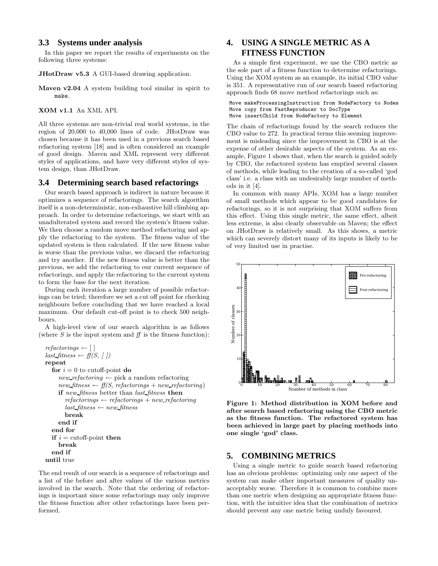## **3.3 Systems under analysis**

In this paper we report the results of experiments on the following three systems:

JHotDraw v5.3 A GUI-based drawing application.

Maven v2.04 A system building tool similar in spirit to make.

XOM v1.1 An XML API.

All three systems are non-trivial real world systems, in the region of 20,000 to 40,000 lines of code. JHotDraw was chosen because it has been used in a previous search based refactoring system [18] and is often considered an example of good design. Maven and XML represent very different styles of applications, and have very different styles of system design, than JHotDraw.

#### **3.4 Determining search based refactorings**

Our search based approach is indirect in nature because it optimizes a sequence of refactorings. The search algorithm itself is a non-deterministic, non-exhaustive hill climbing approach. In order to determine refactorings, we start with an unadulterated system and record the system's fitness value. We then choose a random move method refactoring and apply the refactoring to the system. The fitness value of the updated system is then calculated. If the new fitness value is worse than the previous value, we discard the refactoring and try another. If the new fitness value is better than the previous, we add the refactoring to our current sequence of refactorings, and apply the refactoring to the current system to form the base for the next iteration.

During each iteration a large number of possible refactorings can be tried; therefore we set a cut off point for checking neighbours before concluding that we have reached a local maximum. Our default cut-off point is to check 500 neighbours.

A high-level view of our search algorithm is as follows (where  $S$  is the input system and  $ff$  is the fitness function):

```
refactorings \leftarrow [last\_fitness \leftarrow ff(S, \lceil \rceil)repeat
  for i = 0 to cutoff-point do
     new\_refactoring \leftarrow pick a random refactoringnew\_fitness \leftarrow ff(S, \, \text{refactoring} + \text{new\_refactoring})if new fitness better than last fitness then
        refactoring \leftarrow refactoring + new_refactoringlast\_fitness \leftarrow new\_fitnessbreak
     end if
  end for
  if i = cutoff-point then
     break
  end if
until true
```
The end result of our search is a sequence of refactorings and a list of the before and after values of the various metrics involved in the search. Note that the ordering of refactorings is important since some refactorings may only improve the fitness function after other refactorings have been performed.

## **4. USING A SINGLE METRIC AS A FITNESS FUNCTION**

As a simple first experiment, we use the CBO metric as the sole part of a fitness function to determine refactorings. Using the XOM system as an example, its initial CBO value is 351. A representative run of our search based refactoring approach finds 68 move method refactorings such as:

Move makeProcessingInstruction from NodeFactory to Nodes Move copy from FastReproducer to DocType Move insertChild from NodeFactory to Element

The chain of refactorings found by the search reduces the CBO value to 272. In practical terms this seeming improvement is misleading since the improvement in CBO is at the expense of other desirable aspects of the system. As an example, Figure 1 shows that, when the search is guided solely by CBO, the refactored system has emptied several classes of methods, while leading to the creation of a so-called 'god class' i.e. a class with an undesirably large number of methods in it [4].

In common with many APIs, XOM has a large number of small methods which appear to be good candidates for refactorings, so it is not surprising that XOM suffers from this effect. Using this single metric, the same effect, albeit less extreme, is also clearly observable on Maven; the effect on JHotDraw is relatively small. As this shows, a metric which can severely distort many of its inputs is likely to be of very limited use in practise.



Figure 1: Method distribution in XOM before and after search based refactoring using the CBO metric as the fitness function. The refactored system has been achieved in large part by placing methods into one single 'god' class.

## **5. COMBINING METRICS**

Using a single metric to guide search based refactoring has an obvious problems: optimizing only one aspect of the system can make other important measures of quality unacceptably worse. Therefore it is common to combine more than one metric when designing an appropriate fitness function, with the intuitive idea that the combination of metrics should prevent any one metric being unduly favoured.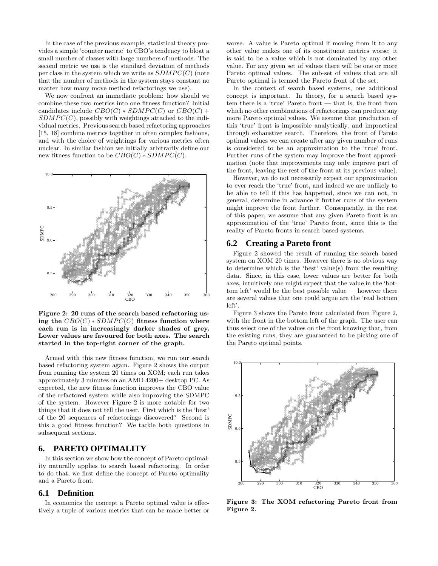In the case of the previous example, statistical theory provides a simple 'counter metric' to CBO's tendency to bloat a small number of classes with large numbers of methods. The second metric we use is the standard deviation of methods per class in the system which we write as  $SDMPC(C)$  (note that the number of methods in the system stays constant no matter how many move method refactorings we use).

We now confront an immediate problem: how should we combine these two metrics into one fitness function? Initial candidates include  $CBO(C) * SDMPC(C)$  or  $CBO(C) +$  $SDMPC(C)$ , possibly with weightings attached to the individual metrics. Previous search based refactoring approaches [15, 18] combine metrics together in often complex fashions, and with the choice of weightings for various metrics often unclear. In similar fashion we initially arbitrarily define our new fitness function to be  $CBO(C) * SDMPC(C)$ .



Figure 2: 20 runs of the search based refactoring using the  $CBO(C) * SDMPC(C)$  fitness function where each run is in increasingly darker shades of grey. Lower values are favoured for both axes. The search started in the top-right corner of the graph.

Armed with this new fitness function, we run our search based refactoring system again. Figure 2 shows the output from running the system 20 times on XOM; each run takes approximately 3 minutes on an AMD 4200+ desktop PC. As expected, the new fitness function improves the CBO value of the refactored system while also improving the SDMPC of the system. However Figure 2 is more notable for two things that it does not tell the user. First which is the 'best' of the 20 sequences of refactorings discovered? Second is this a good fitness function? We tackle both questions in subsequent sections.

## **6. PARETO OPTIMALITY**

In this section we show how the concept of Pareto optimality naturally applies to search based refactoring. In order to do that, we first define the concept of Pareto optimality and a Pareto front.

#### **6.1 Definition**

In economics the concept a Pareto optimal value is effectively a tuple of various metrics that can be made better or worse. A value is Pareto optimal if moving from it to any other value makes one of its constituent metrics worse; it is said to be a value which is not dominated by any other value. For any given set of values there will be one or more Pareto optimal values. The sub-set of values that are all Pareto optimal is termed the Pareto front of the set.

In the context of search based systems, one additional concept is important. In theory, for a search based system there is a 'true' Pareto front — that is, the front from which no other combinations of refactorings can produce any more Pareto optimal values. We assume that production of this 'true' front is impossible analytically, and impractical through exhaustive search. Therefore, the front of Pareto optimal values we can create after any given number of runs is considered to be an approximation to the 'true' front. Further runs of the system may improve the front approximation (note that improvements may only improve part of the front, leaving the rest of the front at its previous value).

However, we do not necessarily expect our approximation to ever reach the 'true' front, and indeed we are unlikely to be able to tell if this has happened, since we can not, in general, determine in advance if further runs of the system might improve the front further. Consequently, in the rest of this paper, we assume that any given Pareto front is an approximation of the 'true' Pareto front, since this is the reality of Pareto fronts in search based systems.

#### **6.2 Creating a Pareto front**

Figure 2 showed the result of running the search based system on XOM 20 times. However there is no obvious way to determine which is the 'best' value(s) from the resulting data. Since, in this case, lower values are better for both axes, intuitively one might expect that the value in the 'bottom left' would be the best possible value — however there are several values that one could argue are the 'real bottom left'.

Figure 3 shows the Pareto front calculated from Figure 2, with the front in the bottom left of the graph. The user can thus select one of the values on the front knowing that, from the existing runs, they are guaranteed to be picking one of the Pareto optimal points.



Figure 3: The XOM refactoring Pareto front from Figure 2.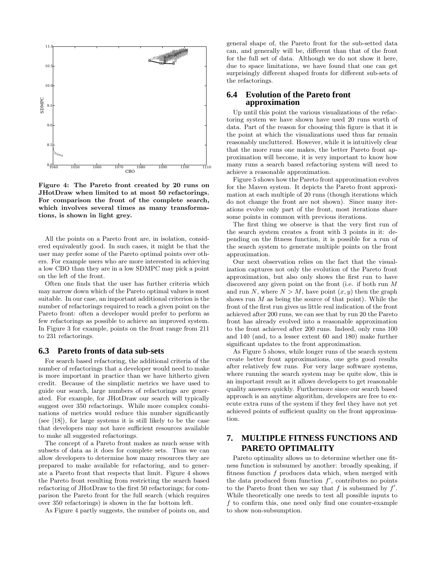

Figure 4: The Pareto front created by 20 runs on JHotDraw when limited to at most 50 refactorings. For comparison the front of the complete search, which involves several times as many transformations, is shown in light grey.

All the points on a Pareto front are, in isolation, considered equivalently good. In such cases, it might be that the user may prefer some of the Pareto optimal points over others. For example users who are more interested in achieving a low CBO than they are in a low SDMPC may pick a point on the left of the front.

Often one finds that the user has further criteria which may narrow down which of the Pareto optimal values is most suitable. In our case, an important additional criterion is the number of refactorings required to reach a given point on the Pareto front: often a developer would prefer to perform as few refactorings as possible to achieve an improved system. In Figure 3 for example, points on the front range from 211 to 231 refactorings.

#### **6.3 Pareto fronts of data sub-sets**

For search based refactoring, the additional criteria of the number of refactorings that a developer would need to make is more important in practice than we have hitherto given credit. Because of the simplistic metrics we have used to guide our search, large numbers of refactorings are generated. For example, for JHotDraw our search will typically suggest over 350 refactorings. While more complex combinations of metrics would reduce this number significantly (see [18]), for large systems it is still likely to be the case that developers may not have sufficient resources available to make all suggested refactorings.

The concept of a Pareto front makes as much sense with subsets of data as it does for complete sets. Thus we can allow developers to determine how many resources they are prepared to make available for refactoring, and to generate a Pareto front that respects that limit. Figure 4 shows the Pareto front resulting from restricting the search based refactoring of JHotDraw to the first 50 refactorings; for comparison the Pareto front for the full search (which requires over 350 refactorings) is shown in the far bottom left.

As Figure 4 partly suggests, the number of points on, and

general shape of, the Pareto front for the sub-setted data can, and generally will be, different than that of the front for the full set of data. Although we do not show it here, due to space limitations, we have found that one can get surprisingly different shaped fronts for different sub-sets of the refactorings.

#### **6.4 Evolution of the Pareto front approximation**

Up until this point the various visualizations of the refactoring system we have shown have used 20 runs worth of data. Part of the reason for choosing this figure is that it is the point at which the visualizations used thus far remain reasonably uncluttered. However, while it is intuitively clear that the more runs one makes, the better Pareto front approximation will become, it is very important to know how many runs a search based refactoring system will need to achieve a reasonable approximation.

Figure 5 shows how the Pareto front approximation evolves for the Maven system. It depicts the Pareto front approximation at each multiple of 20 runs (though iterations which do not change the front are not shown). Since many iterations evolve only part of the front, most iterations share some points in common with previous iterations.

The first thing we observe is that the very first run of the search system creates a front with 3 points in it: depending on the fitness function, it is possible for a run of the search system to generate multiple points on the front approximation.

Our next observation relies on the fact that the visualization captures not only the evolution of the Pareto front approximation, but also only shows the first run to have discovered any given point on the front (i.e. if both run M and run N, where  $N > M$ , have point  $(x, y)$  then the graph shows run  $M$  as being the source of that point). While the front of the first run gives us little real indication of the front achieved after 200 runs, we can see that by run 20 the Pareto front has already evolved into a reasonable approximation to the front achieved after 200 runs. Indeed, only runs 100 and 140 (and, to a lesser extent 60 and 180) make further significant updates to the front approximation.

As Figure 5 shows, while longer runs of the search system create better front approximations, one gets good results after relatively few runs. For very large software systems, where running the search system may be quite slow, this is an important result as it allows developers to get reasonable quality answers quickly. Furthermore since our search based approach is an anytime algorithm, developers are free to execute extra runs of the system if they feel they have not yet achieved points of sufficient quality on the front approximation.

## **7. MULTIPLE FITNESS FUNCTIONS AND PARETO OPTIMALITY**

Pareto optimality allows us to determine whether one fitness function is subsumed by another: broadly speaking, if fitness function  $f$  produces data which, when merged with the data produced from function  $f'$ , contributes no points to the Pareto front then we say that  $f$  is subsumed by  $f'$ . While theoretically one needs to test all possible inputs to f to confirm this, one need only find one counter-example to show non-subsumption.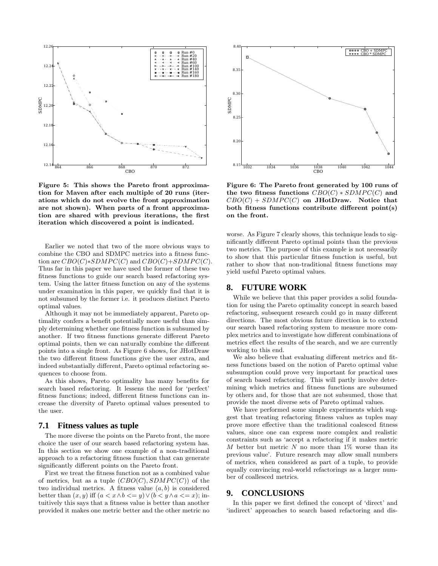

Figure 5: This shows the Pareto front approximation for Maven after each multiple of 20 runs (iterations which do not evolve the front approximation are not shown). When parts of a front approximation are shared with previous iterations, the first iteration which discovered a point is indicated.

Earlier we noted that two of the more obvious ways to combine the CBO and SDMPC metrics into a fitness function are  $CBO(C) * SDMPC(C)$  and  $CBO(C) + SDMPC(C)$ . Thus far in this paper we have used the former of these two fitness functions to guide our search based refactoring system. Using the latter fitness function on any of the systems under examination in this paper, we quickly find that it is not subsumed by the former i.e. it produces distinct Pareto optimal values.

Although it may not be immediately apparent, Pareto optimality confers a benefit potentially more useful than simply determining whether one fitness function is subsumed by another. If two fitness functions generate different Pareto optimal points, then we can naturally combine the different points into a single front. As Figure 6 shows, for JHotDraw the two different fitness functions give the user extra, and indeed substantially different, Pareto optimal refactoring sequences to choose from.

As this shows, Pareto optimality has many benefits for search based refactoring. It lessens the need for 'perfect' fitness functions; indeed, different fitness functions can increase the diversity of Pareto optimal values presented to the user.

#### **7.1 Fitness values as tuple**

The more diverse the points on the Pareto front, the more choice the user of our search based refactoring system has. In this section we show one example of a non-traditional approach to a refactoring fitness function that can generate significantly different points on the Pareto front.

First we treat the fitness function not as a combined value of metrics, but as a tuple  $(CBO(C), SDMPC(C))$  of the two individual metrics. A fitness value  $(a, b)$  is considered better than  $(x, y)$  iff  $(a < x \land b <= y) \lor (b < y \land a <= x)$ ; intuitively this says that a fitness value is better than another provided it makes one metric better and the other metric no



Figure 6: The Pareto front generated by 100 runs of the two fitness functions  $CBO(C) * SDMPC(C)$  and  $CBO(C) + SDMPC(C)$  on JHotDraw. Notice that both fitness functions contribute different point(s) on the front.

worse. As Figure 7 clearly shows, this technique leads to significantly different Pareto optimal points than the previous two metrics. The purpose of this example is not necessarily to show that this particular fitness function is useful, but rather to show that non-traditional fitness functions may yield useful Pareto optimal values.

## **8. FUTURE WORK**

While we believe that this paper provides a solid foundation for using the Pareto optimality concept in search based refactoring, subsequent research could go in many different directions. The most obvious future direction is to extend our search based refactoring system to measure more complex metrics and to investigate how different combinations of metrics effect the results of the search, and we are currently working to this end.

We also believe that evaluating different metrics and fitness functions based on the notion of Pareto optimal value subsumption could prove very important for practical uses of search based refactoring. This will partly involve determining which metrics and fitness functions are subsumed by others and, for those that are not subsumed, those that provide the most diverse sets of Pareto optimal values.

We have performed some simple experiments which suggest that treating refactoring fitness values as tuples may prove more effective than the traditional coalesced fitness values, since one can express more complex and realistic constraints such as 'accept a refactoring if it makes metric M better but metric N no more than  $1\%$  worse than its previous value'. Future research may allow small numbers of metrics, when considered as part of a tuple, to provide equally convincing real-world refactorings as a larger number of coallesced metrics.

#### **9. CONCLUSIONS**

In this paper we first defined the concept of 'direct' and 'indirect' approaches to search based refactoring and dis-